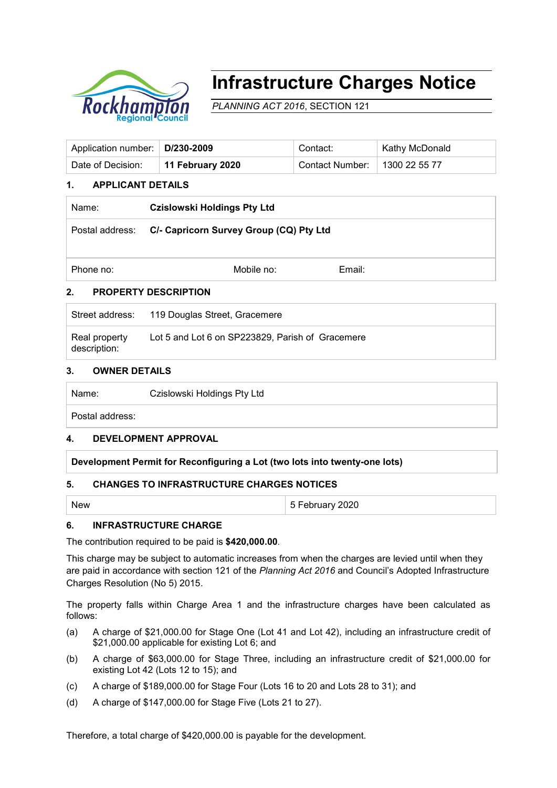

# **Infrastructure Charges Notice**

*PLANNING ACT 2016*, SECTION 121

| Application number:   D/230-2009 |                  | Contact:        | ∣ Kathy McDonald    |
|----------------------------------|------------------|-----------------|---------------------|
| Date of Decision:                | 11 February 2020 | Contact Number: | $\pm$ 1300 22 55 77 |

### **1. APPLICANT DETAILS**

| Name:                            | <b>Czislowski Holdings Pty Ltd</b>      |        |  |  |
|----------------------------------|-----------------------------------------|--------|--|--|
| Postal address:                  | C/- Capricorn Survey Group (CQ) Pty Ltd |        |  |  |
| Phone no:                        | Mobile no:                              | Email: |  |  |
| າ<br><b>DDADEDTV NESCOIDTIAN</b> |                                         |        |  |  |

# **2. PROPERTY DESCRIPTION**

|                               | Street address: 119 Douglas Street, Gracemere    |
|-------------------------------|--------------------------------------------------|
| Real property<br>description: | Lot 5 and Lot 6 on SP223829, Parish of Gracemere |

#### **3. OWNER DETAILS**

| Name: | Czislowski Holdings Pty Ltd |
|-------|-----------------------------|
|-------|-----------------------------|

Postal address:

#### **4. DEVELOPMENT APPROVAL**

#### **Development Permit for Reconfiguring a Lot (two lots into twenty-one lots)**

#### **5. CHANGES TO INFRASTRUCTURE CHARGES NOTICES**

New 35 February 2020

#### **6. INFRASTRUCTURE CHARGE**

The contribution required to be paid is **\$420,000.00**.

This charge may be subject to automatic increases from when the charges are levied until when they are paid in accordance with section 121 of the *Planning Act 2016* and Council's Adopted Infrastructure Charges Resolution (No 5) 2015.

The property falls within Charge Area 1 and the infrastructure charges have been calculated as follows:

- (a) A charge of \$21,000.00 for Stage One (Lot 41 and Lot 42), including an infrastructure credit of \$21,000.00 applicable for existing Lot 6; and
- (b) A charge of \$63,000.00 for Stage Three, including an infrastructure credit of \$21,000.00 for existing Lot 42 (Lots 12 to 15); and
- (c) A charge of \$189,000.00 for Stage Four (Lots 16 to 20 and Lots 28 to 31); and
- (d) A charge of \$147,000.00 for Stage Five (Lots 21 to 27).

Therefore, a total charge of \$420,000.00 is payable for the development.